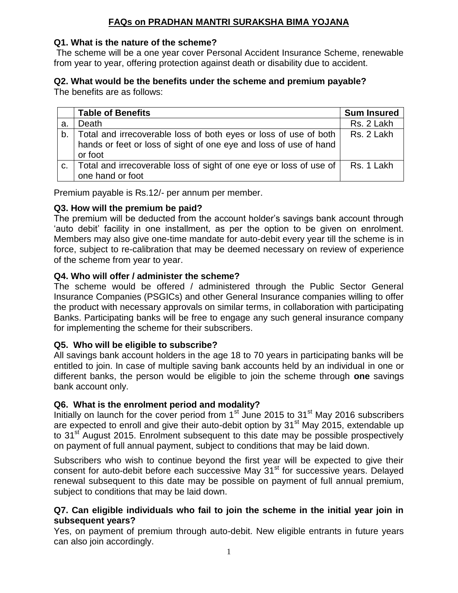# **FAQs on PRADHAN MANTRI SURAKSHA BIMA YOJANA**

## **Q1. What is the nature of the scheme?**

The scheme will be a one year cover Personal Accident Insurance Scheme, renewable from year to year, offering protection against death or disability due to accident.

#### **Q2. What would be the benefits under the scheme and premium payable?** The benefits are as follows:

|    | <b>Table of Benefits</b>                                                                                                                            | <b>Sum Insured</b> |
|----|-----------------------------------------------------------------------------------------------------------------------------------------------------|--------------------|
| а. | Death                                                                                                                                               | Rs. 2 Lakh         |
|    | b. Total and irrecoverable loss of both eyes or loss of use of both<br>hands or feet or loss of sight of one eye and loss of use of hand<br>or foot | Rs. 2 Lakh         |
| C. | Total and irrecoverable loss of sight of one eye or loss of use of<br>one hand or foot                                                              | Rs. 1 Lakh         |

Premium payable is Rs.12/- per annum per member.

# **Q3. How will the premium be paid?**

The premium will be deducted from the account holder's savings bank account through 'auto debit' facility in one installment, as per the option to be given on enrolment. Members may also give one-time mandate for auto-debit every year till the scheme is in force, subject to re-calibration that may be deemed necessary on review of experience of the scheme from year to year.

# **Q4. Who will offer / administer the scheme?**

The scheme would be offered / administered through the Public Sector General Insurance Companies (PSGICs) and other General Insurance companies willing to offer the product with necessary approvals on similar terms, in collaboration with participating Banks. Participating banks will be free to engage any such general insurance company for implementing the scheme for their subscribers.

# **Q5. Who will be eligible to subscribe?**

All savings bank account holders in the age 18 to 70 years in participating banks will be entitled to join. In case of multiple saving bank accounts held by an individual in one or different banks, the person would be eligible to join the scheme through **one** savings bank account only.

# **Q6. What is the enrolment period and modality?**

Initially on launch for the cover period from  $1<sup>st</sup>$  June 2015 to 31 $<sup>st</sup>$  May 2016 subscribers</sup> are expected to enroll and give their auto-debit option by 31<sup>st</sup> May 2015, extendable up to 31<sup>st</sup> August 2015. Enrolment subsequent to this date may be possible prospectively on payment of full annual payment, subject to conditions that may be laid down.

Subscribers who wish to continue beyond the first year will be expected to give their consent for auto-debit before each successive May 31<sup>st</sup> for successive years. Delayed renewal subsequent to this date may be possible on payment of full annual premium, subject to conditions that may be laid down.

## **Q7. Can eligible individuals who fail to join the scheme in the initial year join in subsequent years?**

Yes, on payment of premium through auto-debit. New eligible entrants in future years can also join accordingly.